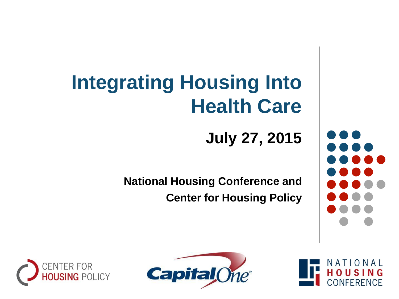## **Integrating Housing Into Health Care**

**July 27, 2015**

**National Housing Conference and Center for Housing Policy**





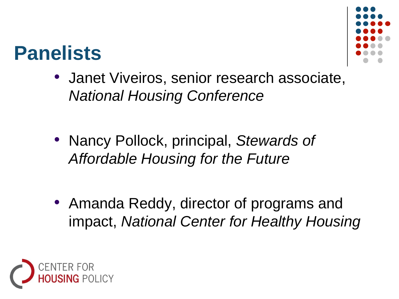

#### **Panelists**

- Janet Viveiros, senior research associate, *National Housing Conference*
- Nancy Pollock, principal, *Stewards of Affordable Housing for the Future*
- Amanda Reddy, director of programs and impact, *National Center for Healthy Housing*

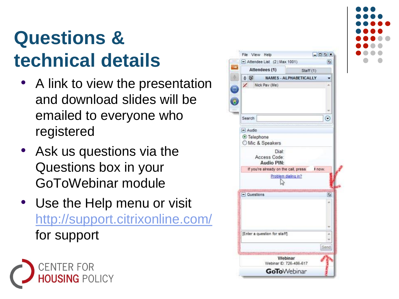#### **Questions & technical details**

- A link to view the presentation and download slides will be emailed to everyone who registered
- Ask us questions via the Questions box in your GoToWebinar module
- Use the Help menu or visit [http://support.citrixonline.com/](http://support.citrixonline.com/en_US/GoToWebinar) for support





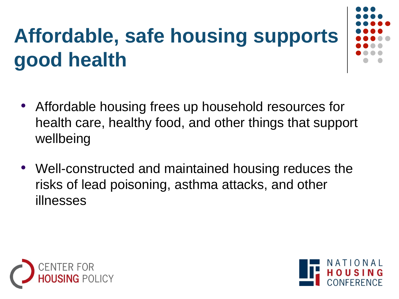# **Affordable, safe housing supports good health**



- Affordable housing frees up household resources for health care, healthy food, and other things that support wellbeing
- Well-constructed and maintained housing reduces the risks of lead poisoning, asthma attacks, and other illnesses



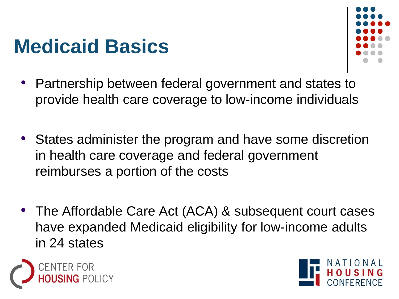#### **Medicaid Basics**



- Partnership between federal government and states to provide health care coverage to low-income individuals
- States administer the program and have some discretion in health care coverage and federal government reimburses a portion of the costs
- The Affordable Care Act (ACA) & subsequent court cases have expanded Medicaid eligibility for low-income adults in 24 states



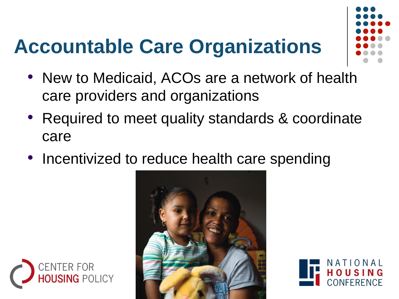## **Accountable Care Organizations**



- New to Medicaid, ACOs are a network of health care providers and organizations
- Required to meet quality standards & coordinate care
- Incentivized to reduce health care spending





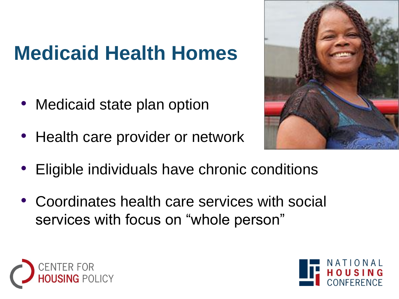### **Medicaid Health Homes**

- Medicaid state plan option
- Health care provider or network



- Eligible individuals have chronic conditions
- Coordinates health care services with social services with focus on "whole person"



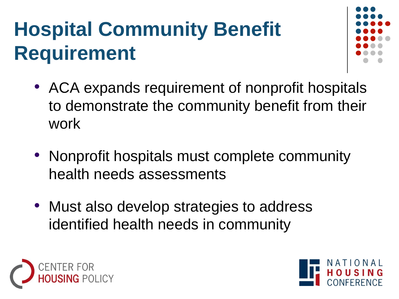# **Hospital Community Benefit Requirement**



- ACA expands requirement of nonprofit hospitals to demonstrate the community benefit from their work
- Nonprofit hospitals must complete community health needs assessments
- Must also develop strategies to address identified health needs in community



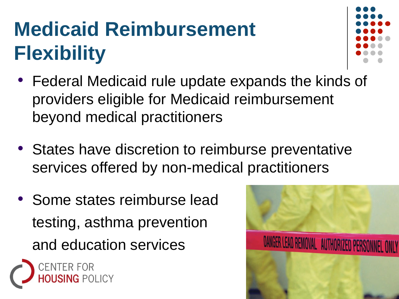# **Medicaid Reimbursement Flexibility**



- Federal Medicaid rule update expands the kinds of providers eligible for Medicaid reimbursement beyond medical practitioners
- States have discretion to reimburse preventative services offered by non-medical practitioners
- Some states reimburse lead testing, asthma prevention and education services



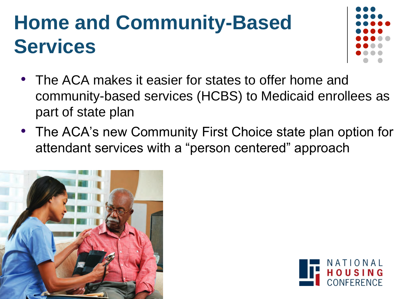### **Home and Community-Based Services**



- The ACA makes it easier for states to offer home and community-based services (HCBS) to Medicaid enrollees as part of state plan
- The ACA's new Community First Choice state plan option for attendant services with a "person centered" approach



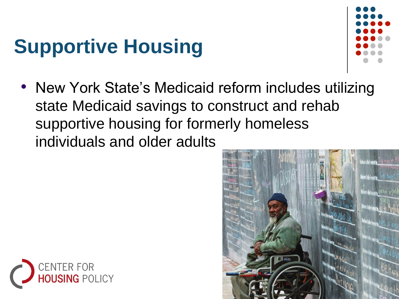## **Supportive Housing**



• New York State's Medicaid reform includes utilizing state Medicaid savings to construct and rehab supportive housing for formerly homeless individuals and older adults



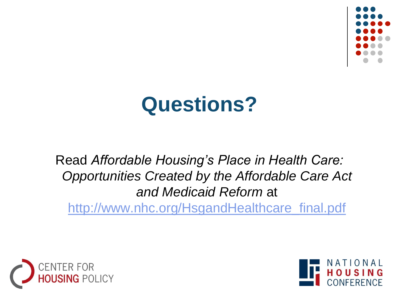

### **Questions?**

Read *Affordable Housing's Place in Health Care: Opportunities Created by the Affordable Care Act and Medicaid Reform* at [http://www.nhc.org/HsgandHealthcare\\_final.pdf](http://www.nhc.org/HsgandHealthcare_final.pdf)